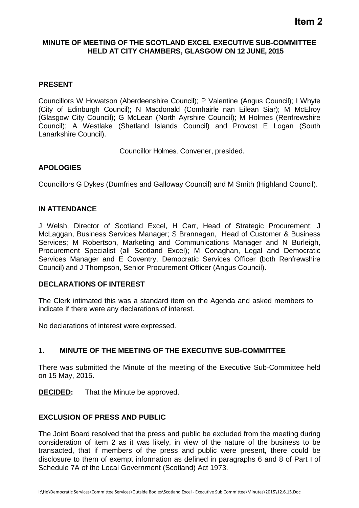## **Item 2**

## **MINUTE OF MEETING OF THE SCOTLAND EXCEL EXECUTIVE SUB-COMMITTEE HELD AT CITY CHAMBERS, GLASGOW ON 12 JUNE, 2015**

## **PRESENT**

Councillors W Howatson (Aberdeenshire Council); P Valentine (Angus Council); I Whyte (City of Edinburgh Council); N Macdonald (Comhairle nan Eilean Siar); M McElroy (Glasgow City Council); G McLean (North Ayrshire Council); M Holmes (Renfrewshire Council); A Westlake (Shetland Islands Council) and Provost E Logan (South Lanarkshire Council).

Councillor Holmes, Convener, presided.

## **APOLOGIES**

Councillors G Dykes (Dumfries and Galloway Council) and M Smith (Highland Council).

#### **IN ATTENDANCE**

J Welsh, Director of Scotland Excel, H Carr, Head of Strategic Procurement; J McLaggan, Business Services Manager; S Brannagan, Head of Customer & Business Services; M Robertson, Marketing and Communications Manager and N Burleigh, Procurement Specialist (all Scotland Excel); M Conaghan, Legal and Democratic Services Manager and E Coventry, Democratic Services Officer (both Renfrewshire Council) and J Thompson, Senior Procurement Officer (Angus Council).

#### **DECLARATIONS OF INTEREST**

The Clerk intimated this was a standard item on the Agenda and asked members to indicate if there were any declarations of interest.

No declarations of interest were expressed.

## 1**. MINUTE OF THE MEETING OF THE EXECUTIVE SUB-COMMITTEE**

There was submitted the Minute of the meeting of the Executive Sub-Committee held on 15 May, 2015.

**DECIDED:** That the Minute be approved.

#### **EXCLUSION OF PRESS AND PUBLIC**

The Joint Board resolved that the press and public be excluded from the meeting during consideration of item 2 as it was likely, in view of the nature of the business to be transacted, that if members of the press and public were present, there could be disclosure to them of exempt information as defined in paragraphs 6 and 8 of Part I of Schedule 7A of the Local Government (Scotland) Act 1973.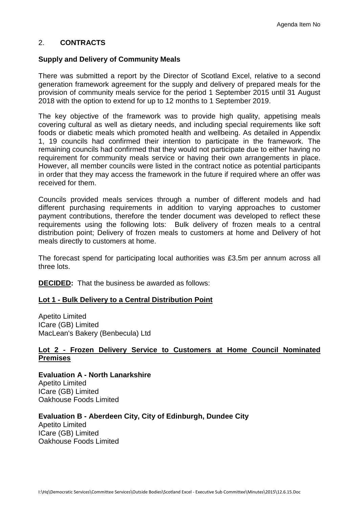## 2. **CONTRACTS**

#### **Supply and Delivery of Community Meals**

There was submitted a report by the Director of Scotland Excel, relative to a second generation framework agreement for the supply and delivery of prepared meals for the provision of community meals service for the period 1 September 2015 until 31 August 2018 with the option to extend for up to 12 months to 1 September 2019.

The key objective of the framework was to provide high quality, appetising meals covering cultural as well as dietary needs, and including special requirements like soft foods or diabetic meals which promoted health and wellbeing. As detailed in Appendix 1, 19 councils had confirmed their intention to participate in the framework. The remaining councils had confirmed that they would not participate due to either having no requirement for community meals service or having their own arrangements in place. However, all member councils were listed in the contract notice as potential participants in order that they may access the framework in the future if required where an offer was received for them.

Councils provided meals services through a number of different models and had different purchasing requirements in addition to varying approaches to customer payment contributions, therefore the tender document was developed to reflect these requirements using the following lots: Bulk delivery of frozen meals to a central distribution point; Delivery of frozen meals to customers at home and Delivery of hot meals directly to customers at home.

The forecast spend for participating local authorities was £3.5m per annum across all three lots.

**DECIDED:** That the business be awarded as follows:

#### **Lot 1 - Bulk Delivery to a Central Distribution Point**

Apetito Limited ICare (GB) Limited MacLean's Bakery (Benbecula) Ltd

#### **Lot 2 - Frozen Delivery Service to Customers at Home Council Nominated Premises**

**Evaluation A - North Lanarkshire** Apetito Limited ICare (GB) Limited Oakhouse Foods Limited

## **Evaluation B - Aberdeen City, City of Edinburgh, Dundee City**

Apetito Limited ICare (GB) Limited Oakhouse Foods Limited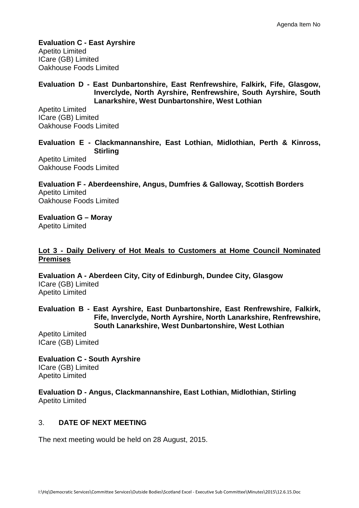**Evaluation C - East Ayrshire** Apetito Limited ICare (GB) Limited Oakhouse Foods Limited

#### **Evaluation D - East Dunbartonshire, East Renfrewshire, Falkirk, Fife, Glasgow, Inverclyde, North Ayrshire, Renfrewshire, South Ayrshire, South Lanarkshire, West Dunbartonshire, West Lothian**

Apetito Limited ICare (GB) Limited Oakhouse Foods Limited

**Evaluation E - Clackmannanshire, East Lothian, Midlothian, Perth & Kinross, Stirling**

Apetito Limited Oakhouse Foods Limited

**Evaluation F - Aberdeenshire, Angus, Dumfries & Galloway, Scottish Borders** Apetito Limited Oakhouse Foods Limited

**Evaluation G – Moray** Apetito Limited

## **Lot 3 - Daily Delivery of Hot Meals to Customers at Home Council Nominated Premises**

**Evaluation A - Aberdeen City, City of Edinburgh, Dundee City, Glasgow** ICare (GB) Limited Apetito Limited

**Evaluation B - East Ayrshire, East Dunbartonshire, East Renfrewshire, Falkirk, Fife, Inverclyde, North Ayrshire, North Lanarkshire, Renfrewshire, South Lanarkshire, West Dunbartonshire, West Lothian**

Apetito Limited ICare (GB) Limited

**Evaluation C - South Ayrshire** ICare (GB) Limited Apetito Limited

**Evaluation D - Angus, Clackmannanshire, East Lothian, Midlothian, Stirling** Apetito Limited

## 3. **DATE OF NEXT MEETING**

The next meeting would be held on 28 August, 2015.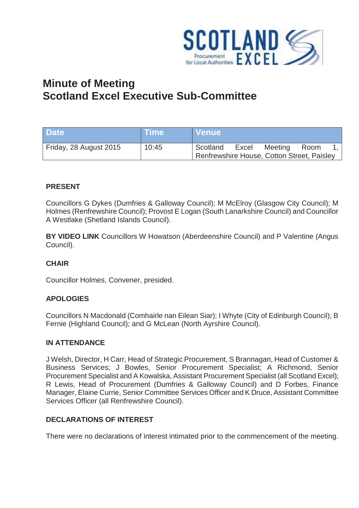

# **Minute of Meeting Scotland Excel Executive Sub-Committee**

| <b>Date</b>            | <b>Time</b> | NVenue\                                    |       |         |      |  |
|------------------------|-------------|--------------------------------------------|-------|---------|------|--|
| Friday, 28 August 2015 | 10:45       | Scotland                                   | Excel | Meeting | Room |  |
|                        |             | Renfrewshire House, Cotton Street, Paisley |       |         |      |  |

## **PRESENT**

Councillors G Dykes (Dumfries & Galloway Council); M McElroy (Glasgow City Council); M Holmes (Renfrewshire Council); Provost E Logan (South Lanarkshire Council) and Councillor A Westlake (Shetland Islands Council).

**BY VIDEO LINK** Councillors W Howatson (Aberdeenshire Council) and P Valentine (Angus Council).

## **CHAIR**

Councillor Holmes, Convener, presided.

## **APOLOGIES**

Councillors N Macdonald (Comhairle nan Eilean Siar); I Whyte (City of Edinburgh Council); B Fernie (Highland Council); and G McLean (North Ayrshire Council).

#### **IN ATTENDANCE**

J Welsh, Director, H Carr, Head of Strategic Procurement, S Brannagan, Head of Customer & Business Services; J Bowles, Senior Procurement Specialist; A Richmond, Senior Procurement Specialist and A Kowalska, Assistant Procurement Specialist (all Scotland Excel); R Lewis, Head of Procurement (Dumfries & Galloway Council) and D Forbes, Finance Manager, Elaine Currie, Senior Committee Services Officer and K Druce, Assistant Committee Services Officer (all Renfrewshire Council).

## **DECLARATIONS OF INTEREST**

There were no declarations of interest intimated prior to the commencement of the meeting.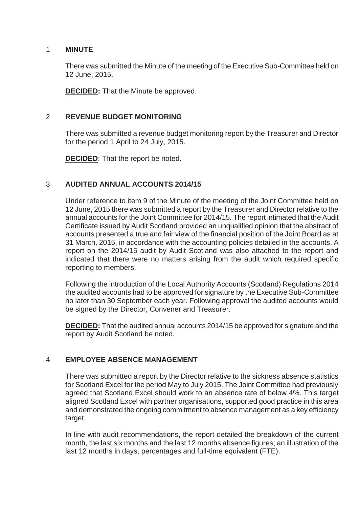## 1 **MINUTE**

There was submitted the Minute of the meeting of the Executive Sub-Committee held on 12 June, 2015.

**DECIDED:** That the Minute be approved.

## 2 **REVENUE BUDGET MONITORING**

There was submitted a revenue budget monitoring report by the Treasurer and Director for the period 1 April to 24 July, 2015.

**DECIDED**: That the report be noted.

## 3 **AUDITED ANNUAL ACCOUNTS 2014/15**

Under reference to item 9 of the Minute of the meeting of the Joint Committee held on 12 June, 2015 there was submitted a report by the Treasurer and Director relative to the annual accounts for the Joint Committee for 2014/15. The report intimated that the Audit Certificate issued by Audit Scotland provided an unqualified opinion that the abstract of accounts presented a true and fair view of the financial position of the Joint Board as at 31 March, 2015, in accordance with the accounting policies detailed in the accounts. A report on the 2014/15 audit by Audit Scotland was also attached to the report and indicated that there were no matters arising from the audit which required specific reporting to members.

Following the introduction of the Local Authority Accounts (Scotland) Regulations 2014 the audited accounts had to be approved for signature by the Executive Sub-Committee no later than 30 September each year. Following approval the audited accounts would be signed by the Director, Convener and Treasurer.

**DECIDED:** That the audited annual accounts 2014/15 be approved for signature and the report by Audit Scotland be noted.

## 4 **EMPLOYEE ABSENCE MANAGEMENT**

There was submitted a report by the Director relative to the sickness absence statistics for Scotland Excel for the period May to July 2015. The Joint Committee had previously agreed that Scotland Excel should work to an absence rate of below 4%. This target aligned Scotland Excel with partner organisations, supported good practice in this area and demonstrated the ongoing commitment to absence management as a key efficiency target.

In line with audit recommendations, the report detailed the breakdown of the current month, the last six months and the last 12 months absence figures; an illustration of the last 12 months in days, percentages and full-time equivalent (FTE).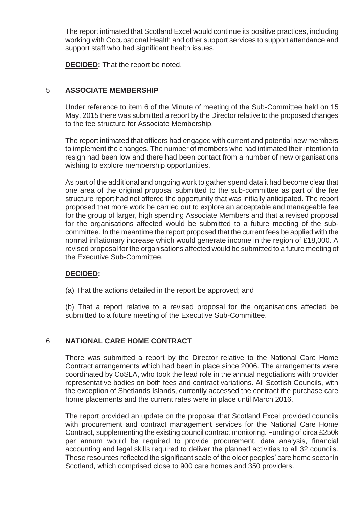The report intimated that Scotland Excel would continue its positive practices, including working with Occupational Health and other support services to support attendance and support staff who had significant health issues.

**DECIDED:** That the report be noted.

## 5 **ASSOCIATE MEMBERSHIP**

Under reference to item 6 of the Minute of meeting of the Sub-Committee held on 15 May, 2015 there was submitted a report by the Director relative to the proposed changes to the fee structure for Associate Membership.

The report intimated that officers had engaged with current and potential new members to implement the changes. The number of members who had intimated their intention to resign had been low and there had been contact from a number of new organisations wishing to explore membership opportunities.

As part of the additional and ongoing work to gather spend data it had become clear that one area of the original proposal submitted to the sub-committee as part of the fee structure report had not offered the opportunity that was initially anticipated. The report proposed that more work be carried out to explore an acceptable and manageable fee for the group of larger, high spending Associate Members and that a revised proposal for the organisations affected would be submitted to a future meeting of the subcommittee. In the meantime the report proposed that the current fees be applied with the normal inflationary increase which would generate income in the region of £18,000. A revised proposal for the organisations affected would be submitted to a future meeting of the Executive Sub-Committee.

## **DECIDED:**

(a) That the actions detailed in the report be approved; and

(b) That a report relative to a revised proposal for the organisations affected be submitted to a future meeting of the Executive Sub-Committee.

## 6 **NATIONAL CARE HOME CONTRACT**

There was submitted a report by the Director relative to the National Care Home Contract arrangements which had been in place since 2006. The arrangements were coordinated by CoSLA, who took the lead role in the annual negotiations with provider representative bodies on both fees and contract variations. All Scottish Councils, with the exception of Shetlands Islands, currently accessed the contract the purchase care home placements and the current rates were in place until March 2016.

The report provided an update on the proposal that Scotland Excel provided councils with procurement and contract management services for the National Care Home Contract, supplementing the existing council contract monitoring. Funding of circa £250k per annum would be required to provide procurement, data analysis, financial accounting and legal skills required to deliver the planned activities to all 32 councils. These resources reflected the significant scale of the older peoples' care home sector in Scotland, which comprised close to 900 care homes and 350 providers.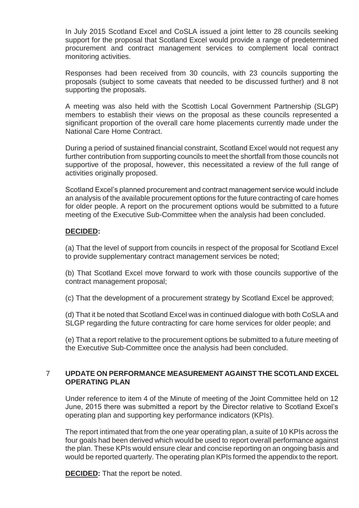In July 2015 Scotland Excel and CoSLA issued a joint letter to 28 councils seeking support for the proposal that Scotland Excel would provide a range of predetermined procurement and contract management services to complement local contract monitoring activities.

Responses had been received from 30 councils, with 23 councils supporting the proposals (subject to some caveats that needed to be discussed further) and 8 not supporting the proposals.

A meeting was also held with the Scottish Local Government Partnership (SLGP) members to establish their views on the proposal as these councils represented a significant proportion of the overall care home placements currently made under the National Care Home Contract.

During a period of sustained financial constraint, Scotland Excel would not request any further contribution from supporting councils to meet the shortfall from those councils not supportive of the proposal, however, this necessitated a review of the full range of activities originally proposed.

Scotland Excel's planned procurement and contract management service would include an analysis of the available procurement options for the future contracting of care homes for older people. A report on the procurement options would be submitted to a future meeting of the Executive Sub-Committee when the analysis had been concluded.

## **DECIDED:**

(a) That the level of support from councils in respect of the proposal for Scotland Excel to provide supplementary contract management services be noted;

(b) That Scotland Excel move forward to work with those councils supportive of the contract management proposal;

(c) That the development of a procurement strategy by Scotland Excel be approved;

(d) That it be noted that Scotland Excel was in continued dialogue with both CoSLA and SLGP regarding the future contracting for care home services for older people; and

(e) That a report relative to the procurement options be submitted to a future meeting of the Executive Sub-Committee once the analysis had been concluded.

## 7 **UPDATE ON PERFORMANCE MEASUREMENT AGAINST THE SCOTLAND EXCEL OPERATING PLAN**

Under reference to item 4 of the Minute of meeting of the Joint Committee held on 12 June, 2015 there was submitted a report by the Director relative to Scotland Excel's operating plan and supporting key performance indicators (KPIs).

The report intimated that from the one year operating plan, a suite of 10 KPIs across the four goals had been derived which would be used to report overall performance against the plan. These KPIs would ensure clear and concise reporting on an ongoing basis and would be reported quarterly. The operating plan KPIs formed the appendix to the report.

**DECIDED:** That the report be noted.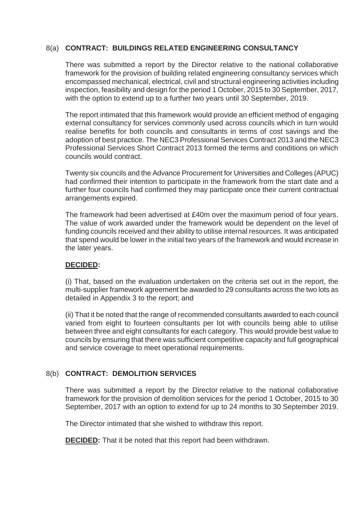## 8(a) **CONTRACT: BUILDINGS RELATED ENGINEERING CONSULTANCY**

There was submitted a report by the Director relative to the national collaborative framework for the provision of building related engineering consultancy services which encompassed mechanical, electrical, civil and structural engineering activities including inspection, feasibility and design for the period 1 October, 2015 to 30 September, 2017, with the option to extend up to a further two years until 30 September, 2019.

The report intimated that this framework would provide an efficient method of engaging external consultancy for services commonly used across councils which in turn would realise benefits for both councils and consultants in terms of cost savings and the adoption of best practice. The NEC3 Professional Services Contract 2013 and the NEC3 Professional Services Short Contract 2013 formed the terms and conditions on which councils would contract.

Twenty six councils and the Advance Procurement for Universities and Colleges (APUC) had confirmed their intention to participate in the framework from the start date and a further four councils had confirmed they may participate once their current contractual arrangements expired.

The framework had been advertised at £40m over the maximum period of four years. The value of work awarded under the framework would be dependent on the level of funding councils received and their ability to utilise internal resources. It was anticipated that spend would be lower in the initial two years of the framework and would increase in the later years.

## **DECIDED:**

(i) That, based on the evaluation undertaken on the criteria set out in the report, the multi-supplier framework agreement be awarded to 29 consultants across the two lots as detailed in Appendix 3 to the report; and

(ii) That it be noted that the range of recommended consultants awarded to each council varied from eight to fourteen consultants per lot with councils being able to utilise between three and eight consultants for each category. This would provide best value to councils by ensuring that there was sufficient competitive capacity and full geographical and service coverage to meet operational requirements.

## 8(b) **CONTRACT: DEMOLITION SERVICES**

There was submitted a report by the Director relative to the national collaborative framework for the provision of demolition services for the period 1 October, 2015 to 30 September, 2017 with an option to extend for up to 24 months to 30 September 2019.

The Director intimated that she wished to withdraw this report.

**DECIDED:** That it be noted that this report had been withdrawn.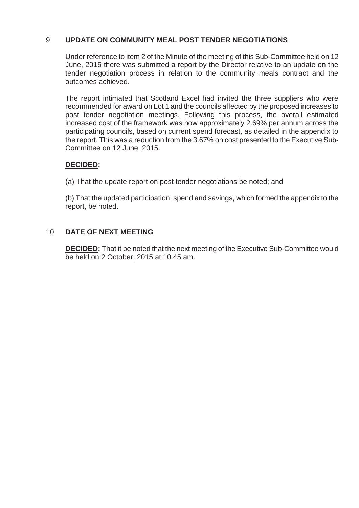## 9 **UPDATE ON COMMUNITY MEAL POST TENDER NEGOTIATIONS**

Under reference to item 2 of the Minute of the meeting of this Sub-Committee held on 12 June, 2015 there was submitted a report by the Director relative to an update on the tender negotiation process in relation to the community meals contract and the outcomes achieved.

The report intimated that Scotland Excel had invited the three suppliers who were recommended for award on Lot 1 and the councils affected by the proposed increases to post tender negotiation meetings. Following this process, the overall estimated increased cost of the framework was now approximately 2.69% per annum across the participating councils, based on current spend forecast, as detailed in the appendix to the report. This was a reduction from the 3.67% on cost presented to the Executive Sub-Committee on 12 June, 2015.

## **DECIDED:**

(a) That the update report on post tender negotiations be noted; and

(b) That the updated participation, spend and savings, which formed the appendix to the report, be noted.

## 10 **DATE OF NEXT MEETING**

**DECIDED:** That it be noted that the next meeting of the Executive Sub-Committee would be held on 2 October, 2015 at 10.45 am.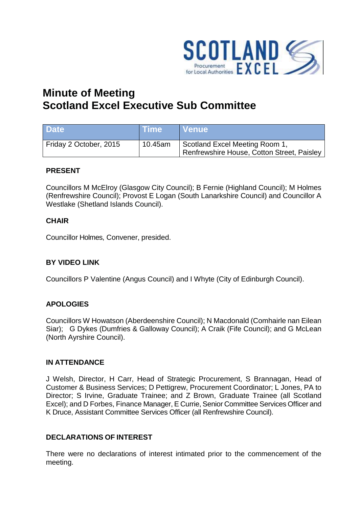

# **Minute of Meeting Scotland Excel Executive Sub Committee**

| <b>Date</b>            | <b>Time</b> | ∣ Venue                                                                      |
|------------------------|-------------|------------------------------------------------------------------------------|
| Friday 2 October, 2015 | 10.45am     | Scotland Excel Meeting Room 1,<br>Renfrewshire House, Cotton Street, Paisley |

## **PRESENT**

Councillors M McElroy (Glasgow City Council); B Fernie (Highland Council); M Holmes (Renfrewshire Council); Provost E Logan (South Lanarkshire Council) and Councillor A Westlake (Shetland Islands Council).

## **CHAIR**

Councillor Holmes, Convener, presided.

## **BY VIDEO LINK**

Councillors P Valentine (Angus Council) and I Whyte (City of Edinburgh Council).

## **APOLOGIES**

Councillors W Howatson (Aberdeenshire Council); N Macdonald (Comhairle nan Eilean Siar); G Dykes (Dumfries & Galloway Council); A Craik (Fife Council); and G McLean (North Ayrshire Council).

## **IN ATTENDANCE**

J Welsh, Director, H Carr, Head of Strategic Procurement, S Brannagan, Head of Customer & Business Services; D Pettigrew, Procurement Coordinator; L Jones, PA to Director; S Irvine, Graduate Trainee; and Z Brown, Graduate Trainee (all Scotland Excel); and D Forbes, Finance Manager, E Currie, Senior Committee Services Officer and K Druce, Assistant Committee Services Officer (all Renfrewshire Council).

## **DECLARATIONS OF INTEREST**

There were no declarations of interest intimated prior to the commencement of the meeting.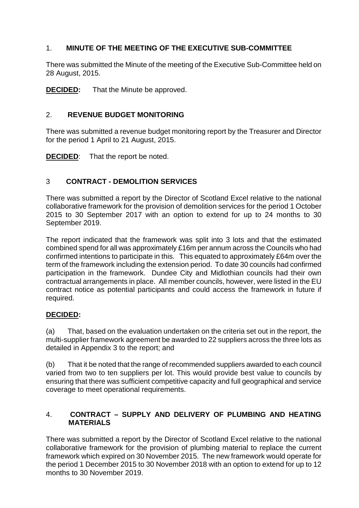## 1. **MINUTE OF THE MEETING OF THE EXECUTIVE SUB-COMMITTEE**

There was submitted the Minute of the meeting of the Executive Sub-Committee held on 28 August, 2015.

**DECIDED:** That the Minute be approved.

## 2. **REVENUE BUDGET MONITORING**

There was submitted a revenue budget monitoring report by the Treasurer and Director for the period 1 April to 21 August, 2015.

**DECIDED:** That the report be noted.

## 3 **CONTRACT - DEMOLITION SERVICES**

There was submitted a report by the Director of Scotland Excel relative to the national collaborative framework for the provision of demolition services for the period 1 October 2015 to 30 September 2017 with an option to extend for up to 24 months to 30 September 2019.

The report indicated that the framework was split into 3 lots and that the estimated combined spend for all was approximately £16m per annum across the Councils who had confirmed intentions to participate in this. This equated to approximately £64m over the term of the framework including the extension period. To date 30 councils had confirmed participation in the framework. Dundee City and Midlothian councils had their own contractual arrangements in place. All member councils, however, were listed in the EU contract notice as potential participants and could access the framework in future if required.

## **DECIDED:**

(a) That, based on the evaluation undertaken on the criteria set out in the report, the multi-supplier framework agreement be awarded to 22 suppliers across the three lots as detailed in Appendix 3 to the report; and

(b) That it be noted that the range of recommended suppliers awarded to each council varied from two to ten suppliers per lot. This would provide best value to councils by ensuring that there was sufficient competitive capacity and full geographical and service coverage to meet operational requirements.

## 4. **CONTRACT – SUPPLY AND DELIVERY OF PLUMBING AND HEATING MATERIALS**

There was submitted a report by the Director of Scotland Excel relative to the national collaborative framework for the provision of plumbing material to replace the current framework which expired on 30 November 2015. The new framework would operate for the period 1 December 2015 to 30 November 2018 with an option to extend for up to 12 months to 30 November 2019.